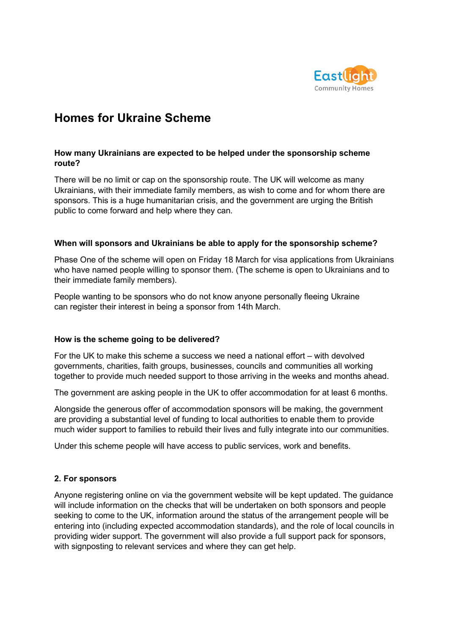

# **Homes for Ukraine Scheme**

## **How many Ukrainians are expected to be helped under the sponsorship scheme route?**

There will be no limit or cap on the sponsorship route. The UK will welcome as many Ukrainians, with their immediate family members, as wish to come and for whom there are sponsors. This is a huge humanitarian crisis, and the government are urging the British public to come forward and help where they can.

#### **When will sponsors and Ukrainians be able to apply for the sponsorship scheme?**

Phase One of the scheme will open on Friday 18 March for visa applications from Ukrainians who have named people willing to sponsor them. (The scheme is open to Ukrainians and to their immediate family members).

People wanting to be sponsors who do not know anyone personally fleeing Ukraine can register their interest in being a sponsor from 14th March.

## **How is the scheme going to be delivered?**

For the UK to make this scheme a success we need a national effort – with devolved governments, charities, faith groups, businesses, councils and communities all working together to provide much needed support to those arriving in the weeks and months ahead.  

The government are asking people in the UK to offer accommodation for at least 6 months.

Alongside the generous offer of accommodation sponsors will be making, the government are providing a substantial level of funding to local authorities to enable them to provide much wider support to families to rebuild their lives and fully integrate into our communities.

Under this scheme people will have access to public services, work and benefits.

# **2. For sponsors**

Anyone registering online on via the government website will be kept updated. The guidance will include information on the checks that will be undertaken on both sponsors and people seeking to come to the UK, information around the status of the arrangement people will be entering into (including expected accommodation standards), and the role of local councils in providing wider support. The government will also provide a full support pack for sponsors, with signposting to relevant services and where they can get help.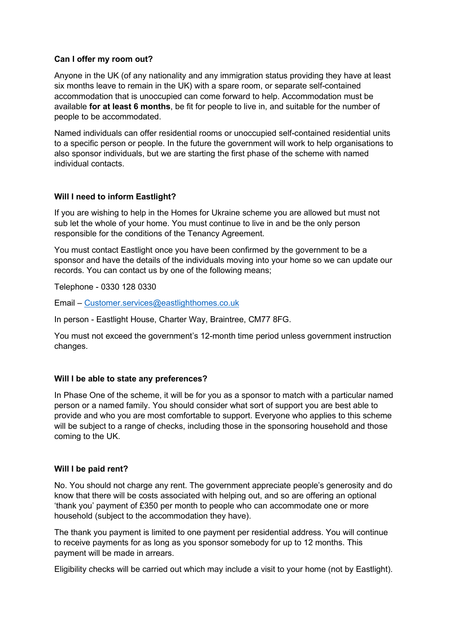## **Can I offer my room out?**

Anyone in the UK (of any nationality and any immigration status providing they have at least six months leave to remain in the UK) with a spare room, or separate self-contained accommodation that is unoccupied can come forward to help. Accommodation must be available **for at least 6 months**, be fit for people to live in, and suitable for the number of people to be accommodated.

Named individuals can offer residential rooms or unoccupied self-contained residential units to a specific person or people. In the future the government will work to help organisations to also sponsor individuals, but we are starting the first phase of the scheme with named individual contacts.

## **Will I need to inform Eastlight?**

If you are wishing to help in the Homes for Ukraine scheme you are allowed but must not sub let the whole of your home. You must continue to live in and be the only person responsible for the conditions of the Tenancy Agreement.

You must contact Eastlight once you have been confirmed by the government to be a sponsor and have the details of the individuals moving into your home so we can update our records. You can contact us by one of the following means;

Telephone - 0330 128 0330

Email – [Customer.services@eastlighthomes.co.uk](mailto:Customer.services@eastlighthomes.co.uk) 

In person - Eastlight House, Charter Way, Braintree, CM77 8FG.

You must not exceed the government's 12-month time period unless government instruction changes.

## **Will I be able to state any preferences?**

In Phase One of the scheme, it will be for you as a sponsor to match with a particular named person or a named family. You should consider what sort of support you are best able to provide and who you are most comfortable to support. Everyone who applies to this scheme will be subject to a range of checks, including those in the sponsoring household and those coming to the UK.

#### **Will I be paid rent?**

No. You should not charge any rent. The government appreciate people's generosity and do know that there will be costs associated with helping out, and so are offering an optional 'thank you' payment of £350 per month to people who can accommodate one or more household (subject to the accommodation they have).

The thank you payment is limited to one payment per residential address. You will continue to receive payments for as long as you sponsor somebody for up to 12 months. This payment will be made in arrears.

Eligibility checks will be carried out which may include a visit to your home (not by Eastlight).